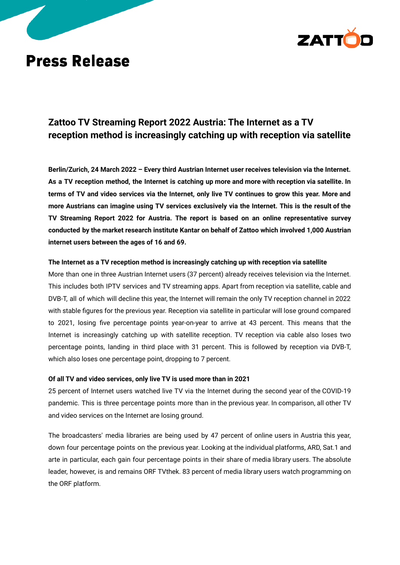

# **Press Release**

# **Zattoo TV Streaming Report 2022 Austria: The Internet as a TV reception method is increasingly catching up with reception via satellite**

**Berlin/Zurich, 24 March 2022 – Every third Austrian Internet user receives television via the Internet.** As a TV reception method, the Internet is catching up more and more with reception via satellite. In terms of TV and video services via the Internet, only live TV continues to grow this year. More and **more Austrians can imagine using TV services exclusively via the Internet. This is the result of the TV Streaming Report 2022 for Austria. The report is based on an online representative survey conducted by the market research institute Kantar on behalf of Zattoo which involved 1,000 Austrian internet users between the ages of 16 and 69.**

## **The Internet as a TV reception method is increasingly catching up with reception via satellite**

More than one in three Austrian Internet users (37 percent) already receives television via the Internet. This includes both IPTV services and TV streaming apps. Apart from reception via satellite, cable and DVB-T, all of which will decline this year, the Internet will remain the only TV reception channel in 2022 with stable figures for the previous year. Reception via satellite in particular will lose ground compared to 2021, losing five percentage points year-on-year to arrive at 43 percent. This means that the Internet is increasingly catching up with satellite reception. TV reception via cable also loses two percentage points, landing in third place with 31 percent. This is followed by reception via DVB-T, which also loses one percentage point, dropping to 7 percent.

# **Of all TV and video services, only live TV is used more than in 2021**

25 percent of Internet users watched live TV via the Internet during the second year of the COVID-19 pandemic. This is three percentage points more than in the previous year. In comparison, all other TV and video services on the Internet are losing ground.

The broadcasters' media libraries are being used by 47 percent of online users in Austria this year, down four percentage points on the previous year. Looking at the individual platforms, ARD, Sat.1 and arte in particular, each gain four percentage points in their share of media library users. The absolute leader, however, is and remains ORF TVthek. 83 percent of media library users watch programming on the ORF platform.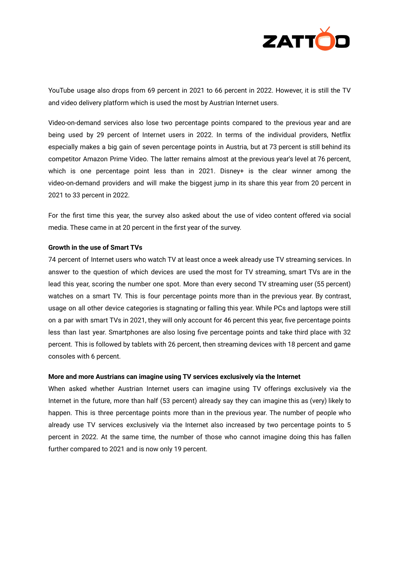

YouTube usage also drops from 69 percent in 2021 to 66 percent in 2022. However, it is still the TV and video delivery platform which is used the most by Austrian Internet users.

Video-on-demand services also lose two percentage points compared to the previous year and are being used by 29 percent of Internet users in 2022. In terms of the individual providers, Netflix especially makes a big gain of seven percentage points in Austria, but at 73 percent is still behind its competitor Amazon Prime Video. The latter remains almost at the previous year's level at 76 percent, which is one percentage point less than in 2021. Disney+ is the clear winner among the video-on-demand providers and will make the biggest jump in its share this year from 20 percent in 2021 to 33 percent in 2022.

For the first time this year, the survey also asked about the use of video content offered via social media. These came in at 20 percent in the first year of the survey.

## **Growth in the use of Smart TVs**

74 percent of Internet users who watch TV at least once a week already use TV streaming services. In answer to the question of which devices are used the most for TV streaming, smart TVs are in the lead this year, scoring the number one spot. More than every second TV streaming user (55 percent) watches on a smart TV. This is four percentage points more than in the previous year. By contrast, usage on all other device categories is stagnating or falling this year. While PCs and laptops were still on a par with smart TVs in 2021, they will only account for 46 percent this year, five percentage points less than last year. Smartphones are also losing five percentage points and take third place with 32 percent. This is followed by tablets with 26 percent, then streaming devices with 18 percent and game consoles with 6 percent.

#### **More and more Austrians can imagine using TV services exclusively via the Internet**

When asked whether Austrian Internet users can imagine using TV offerings exclusively via the Internet in the future, more than half (53 percent) already say they can imagine this as (very) likely to happen. This is three percentage points more than in the previous year. The number of people who already use TV services exclusively via the Internet also increased by two percentage points to 5 percent in 2022. At the same time, the number of those who cannot imagine doing this has fallen further compared to 2021 and is now only 19 percent.